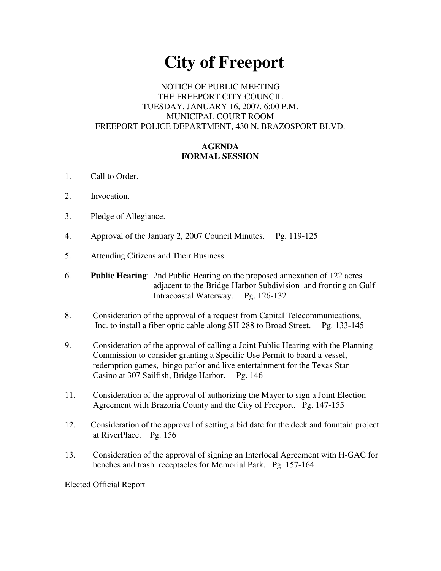# **City of Freeport**

## NOTICE OF PUBLIC MEETING THE FREEPORT CITY COUNCIL TUESDAY, JANUARY 16, 2007, 6:00 P.M. MUNICIPAL COURT ROOM FREEPORT POLICE DEPARTMENT, 430 N. BRAZOSPORT BLVD.

## **AGENDA FORMAL SESSION**

- 1. Call to Order.
- 2. Invocation.
- 3. Pledge of Allegiance.
- 4. Approval of the January 2, 2007 Council Minutes. Pg. 119-125
- 5. Attending Citizens and Their Business.
- 6. **Public Hearing**: 2nd Public Hearing on the proposed annexation of 122 acres adjacent to the Bridge Harbor Subdivision and fronting on Gulf Intracoastal Waterway. Pg. 126-132
- 8. Consideration of the approval of a request from Capital Telecommunications, Inc. to install a fiber optic cable along SH 288 to Broad Street. Pg. 133-145
- 9. Consideration of the approval of calling a Joint Public Hearing with the Planning Commission to consider granting a Specific Use Permit to board a vessel, redemption games, bingo parlor and live entertainment for the Texas Star Casino at 307 Sailfish, Bridge Harbor. Pg. 146
- 11. Consideration of the approval of authorizing the Mayor to sign a Joint Election Agreement with Brazoria County and the City of Freeport. Pg. 147-155
- 12. Consideration of the approval of setting a bid date for the deck and fountain project at RiverPlace. Pg. 156
- 13. Consideration of the approval of signing an Interlocal Agreement with H-GAC for benches and trash receptacles for Memorial Park. Pg. 157-164

Elected Official Report